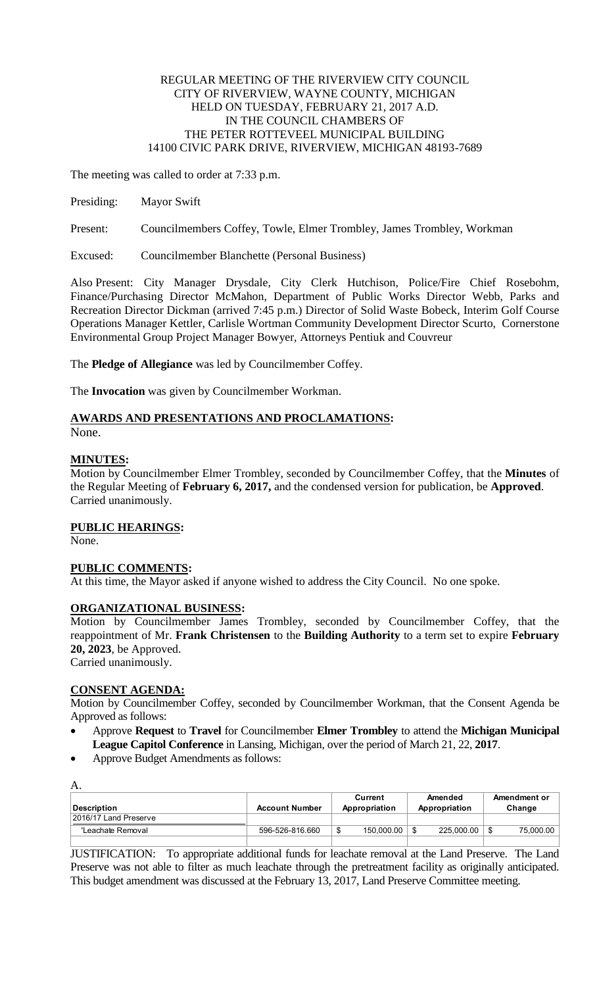### REGULAR MEETING OF THE RIVERVIEW CITY COUNCIL CITY OF RIVERVIEW, WAYNE COUNTY, MICHIGAN HELD ON TUESDAY, FEBRUARY 21, 2017 A.D. IN THE COUNCIL CHAMBERS OF THE PETER ROTTEVEEL MUNICIPAL BUILDING 14100 CIVIC PARK DRIVE, RIVERVIEW, MICHIGAN 48193-7689

The meeting was called to order at 7:33 p.m.

Presiding: Mayor Swift

Present: Councilmembers Coffey, Towle, Elmer Trombley, James Trombley, Workman

Excused: Councilmember Blanchette (Personal Business)

Also Present: City Manager Drysdale, City Clerk Hutchison, Police/Fire Chief Rosebohm, Finance/Purchasing Director McMahon, Department of Public Works Director Webb, Parks and Recreation Director Dickman (arrived 7:45 p.m.) Director of Solid Waste Bobeck, Interim Golf Course Operations Manager Kettler, Carlisle Wortman Community Development Director Scurto, Cornerstone Environmental Group Project Manager Bowyer, Attorneys Pentiuk and Couvreur

The **Pledge of Allegiance** was led by Councilmember Coffey.

The **Invocation** was given by Councilmember Workman.

# **AWARDS AND PRESENTATIONS AND PROCLAMATIONS:**

None.

## **MINUTES:**

Motion by Councilmember Elmer Trombley, seconded by Councilmember Coffey, that the **Minutes** of the Regular Meeting of **February 6, 2017,** and the condensed version for publication, be **Approved**. Carried unanimously.

### **PUBLIC HEARINGS:**

None.

### **PUBLIC COMMENTS:**

At this time, the Mayor asked if anyone wished to address the City Council. No one spoke.

### **ORGANIZATIONAL BUSINESS:**

Motion by Councilmember James Trombley, seconded by Councilmember Coffey, that the reappointment of Mr. **Frank Christensen** to the **Building Authority** to a term set to expire **February 20, 2023**, be Approved.

Carried unanimously.

### **CONSENT AGENDA:**

Motion by Councilmember Coffey, seconded by Councilmember Workman, that the Consent Agenda be Approved as follows:

- Approve **Request** to **Travel** for Councilmember **Elmer Trombley** to attend the **Michigan Municipal League Capitol Conference** in Lansing, Michigan, over the period of March 21, 22, **2017**.
- Approve Budget Amendments as follows:

A.

| Description           | <b>Account Number</b> | Current<br>Appropriation | Amended<br>Appropriation | Amendment or<br>Change |
|-----------------------|-----------------------|--------------------------|--------------------------|------------------------|
| 2016/17 Land Preserve |                       |                          |                          |                        |
| 'Leachate Removal     | 596-526-816.660       | 150.000.00               | 225.000.00               | 75.000.00              |
|                       |                       |                          |                          |                        |

JUSTIFICATION: To appropriate additional funds for leachate removal at the Land Preserve. The Land Preserve was not able to filter as much leachate through the pretreatment facility as originally anticipated. This budget amendment was discussed at the February 13, 2017, Land Preserve Committee meeting.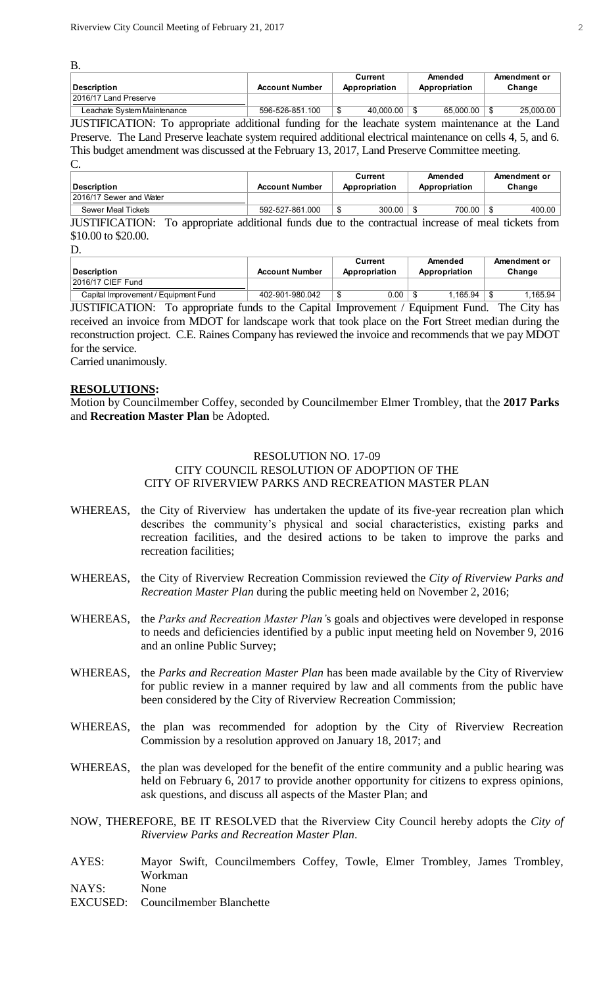B.

|                             |                       | Current       | Amended       | Amendment or |
|-----------------------------|-----------------------|---------------|---------------|--------------|
| <b>IDescription</b>         | <b>Account Number</b> | Appropriation | Appropriation | Change       |
| 2016/17 Land Preserve       |                       |               |               |              |
| Leachate System Maintenance | 596-526-851.100       | 40.000.00     | 65.000.00     | 25.000.00    |

JUSTIFICATION: To appropriate additional funding for the leachate system maintenance at the Land Preserve. The Land Preserve leachate system required additional electrical maintenance on cells 4, 5, and 6. This budget amendment was discussed at the February 13, 2017, Land Preserve Committee meeting. C.

| <b>Description</b>                                                                                  | <b>Account Number</b> | Current<br>Appropriation |               | Amended<br>Appropriation | Amendment or<br>Change |
|-----------------------------------------------------------------------------------------------------|-----------------------|--------------------------|---------------|--------------------------|------------------------|
| 2016/17 Sewer and Water                                                                             |                       |                          |               |                          |                        |
| Sewer Meal Tickets                                                                                  | 592-527-861.000       |                          | $300.00$   \$ | $700.00$   \$            | 400.00                 |
| JUSTIFICATION: To appropriate additional funds due to the contractual increase of meal tickets from |                       |                          |               |                          |                        |

### \$10.00 to \$20.00.

D.

|                                      |                       | Current       | Amended       | Amendment or |  |
|--------------------------------------|-----------------------|---------------|---------------|--------------|--|
| <b>Description</b>                   | <b>Account Number</b> | Appropriation | Appropriation | Change       |  |
| 2016/17 CIEF Fund                    |                       |               |               |              |  |
| Capital Improvement / Equipment Fund | 402-901-980.042       | 0.00          | 1.165.94      | .165.94      |  |

JUSTIFICATION: To appropriate funds to the Capital Improvement / Equipment Fund. The City has received an invoice from MDOT for landscape work that took place on the Fort Street median during the reconstruction project. C.E. Raines Company has reviewed the invoice and recommends that we pay MDOT for the service.

Carried unanimously.

### **RESOLUTIONS:**

Motion by Councilmember Coffey, seconded by Councilmember Elmer Trombley, that the **2017 Parks**  and **Recreation Master Plan** be Adopted.

### RESOLUTION NO. 17-09 CITY COUNCIL RESOLUTION OF ADOPTION OF THE CITY OF RIVERVIEW PARKS AND RECREATION MASTER PLAN

- WHEREAS, the City of Riverview has undertaken the update of its five-year recreation plan which describes the community's physical and social characteristics, existing parks and recreation facilities, and the desired actions to be taken to improve the parks and recreation facilities;
- WHEREAS, the City of Riverview Recreation Commission reviewed the *City of Riverview Parks and Recreation Master Plan* during the public meeting held on November 2, 2016;
- WHEREAS, the *Parks and Recreation Master Plan'*s goals and objectives were developed in response to needs and deficiencies identified by a public input meeting held on November 9, 2016 and an online Public Survey;
- WHEREAS, the *Parks and Recreation Master Plan* has been made available by the City of Riverview for public review in a manner required by law and all comments from the public have been considered by the City of Riverview Recreation Commission;
- WHEREAS, the plan was recommended for adoption by the City of Riverview Recreation Commission by a resolution approved on January 18, 2017; and
- WHEREAS, the plan was developed for the benefit of the entire community and a public hearing was held on February 6, 2017 to provide another opportunity for citizens to express opinions, ask questions, and discuss all aspects of the Master Plan; and
- NOW, THEREFORE, BE IT RESOLVED that the Riverview City Council hereby adopts the *City of Riverview Parks and Recreation Master Plan*.
- AYES: Mayor Swift, Councilmembers Coffey, Towle, Elmer Trombley, James Trombley, Workman NAYS: None
- EXCUSED: Councilmember Blanchette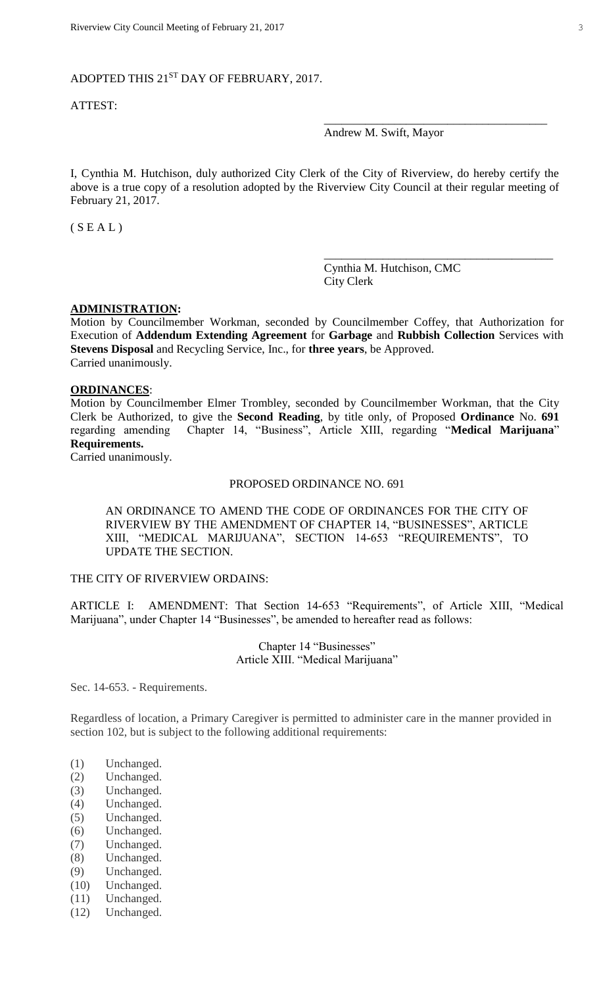# ADOPTED THIS 21<sup>ST</sup> DAY OF FEBRUARY, 2017.

### ATTEST:

### Andrew M. Swift, Mayor

\_\_\_\_\_\_\_\_\_\_\_\_\_\_\_\_\_\_\_\_\_\_\_\_\_\_\_\_\_\_\_\_\_\_\_\_\_\_

\_\_\_\_\_\_\_\_\_\_\_\_\_\_\_\_\_\_\_\_\_\_\_\_\_\_\_\_\_\_\_\_\_\_\_\_\_\_\_

I, Cynthia M. Hutchison, duly authorized City Clerk of the City of Riverview, do hereby certify the above is a true copy of a resolution adopted by the Riverview City Council at their regular meeting of February 21, 2017.

 $(S E A L)$ 

Cynthia M. Hutchison, CMC City Clerk

#### **ADMINISTRATION:**

Motion by Councilmember Workman, seconded by Councilmember Coffey, that Authorization for Execution of **Addendum Extending Agreement** for **Garbage** and **Rubbish Collection** Services with **Stevens Disposal** and Recycling Service, Inc., for **three years**, be Approved. Carried unanimously.

#### **ORDINANCES**:

Motion by Councilmember Elmer Trombley, seconded by Councilmember Workman, that the City Clerk be Authorized, to give the **Second Reading**, by title only, of Proposed **Ordinance** No. **691** regarding amending Chapter 14, "Business", Article XIII, regarding "**Medical Marijuana**" **Requirements.**

Carried unanimously.

#### PROPOSED ORDINANCE NO. 691

AN ORDINANCE TO AMEND THE CODE OF ORDINANCES FOR THE CITY OF RIVERVIEW BY THE AMENDMENT OF CHAPTER 14, "BUSINESSES", ARTICLE XIII, "MEDICAL MARIJUANA", SECTION 14-653 "REQUIREMENTS", TO UPDATE THE SECTION.

### THE CITY OF RIVERVIEW ORDAINS:

ARTICLE I: AMENDMENT: That Section 14-653 "Requirements", of Article XIII, "Medical Marijuana", under Chapter 14 "Businesses", be amended to hereafter read as follows:

> Chapter 14 "Businesses" Article XIII. "Medical Marijuana"

Sec. 14-653. - Requirements.

Regardless of location, a Primary Caregiver is permitted to administer care in the manner provided in section 102, but is subject to the following additional requirements:

- (1) Unchanged.
- (2) Unchanged.
- (3) Unchanged.
- (4) Unchanged.
- (5) Unchanged.
- (6) Unchanged.
- (7) Unchanged.
- (8) Unchanged.
- (9) Unchanged.
- (10) Unchanged.
- (11) Unchanged.
- (12) Unchanged.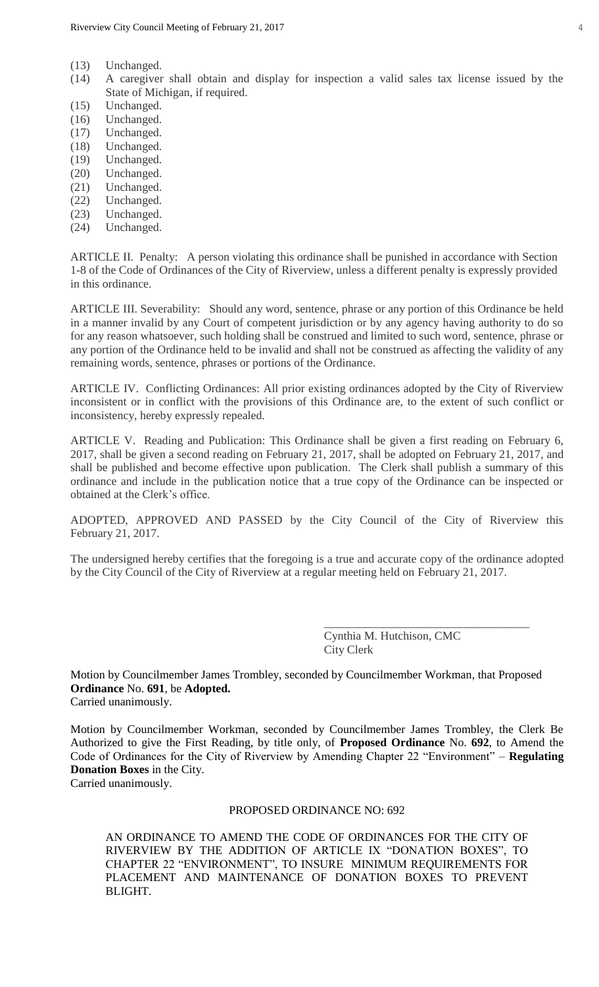- (13) Unchanged.
- (14) A caregiver shall obtain and display for inspection a valid sales tax license issued by the State of Michigan, if required.
- (15) Unchanged.
- (16) Unchanged.
- (17) Unchanged.
- (18) Unchanged.
- (19) Unchanged.
- (20) Unchanged.
- (21) Unchanged.
- (22) Unchanged.
- (23) Unchanged.
- (24) Unchanged.

ARTICLE II. Penalty: A person violating this ordinance shall be punished in accordance with Section 1-8 of the Code of Ordinances of the City of Riverview, unless a different penalty is expressly provided in this ordinance.

ARTICLE III. Severability: Should any word, sentence, phrase or any portion of this Ordinance be held in a manner invalid by any Court of competent jurisdiction or by any agency having authority to do so for any reason whatsoever, such holding shall be construed and limited to such word, sentence, phrase or any portion of the Ordinance held to be invalid and shall not be construed as affecting the validity of any remaining words, sentence, phrases or portions of the Ordinance.

ARTICLE IV. Conflicting Ordinances: All prior existing ordinances adopted by the City of Riverview inconsistent or in conflict with the provisions of this Ordinance are, to the extent of such conflict or inconsistency, hereby expressly repealed.

ARTICLE V. Reading and Publication: This Ordinance shall be given a first reading on February 6, 2017, shall be given a second reading on February 21, 2017, shall be adopted on February 21, 2017, and shall be published and become effective upon publication. The Clerk shall publish a summary of this ordinance and include in the publication notice that a true copy of the Ordinance can be inspected or obtained at the Clerk's office.

ADOPTED, APPROVED AND PASSED by the City Council of the City of Riverview this February 21, 2017.

The undersigned hereby certifies that the foregoing is a true and accurate copy of the ordinance adopted by the City Council of the City of Riverview at a regular meeting held on February 21, 2017.

> Cynthia M. Hutchison, CMC City Clerk

\_\_\_\_\_\_\_\_\_\_\_\_\_\_\_\_\_\_\_\_\_\_\_\_\_\_\_\_\_\_\_\_\_\_\_

Motion by Councilmember James Trombley, seconded by Councilmember Workman, that Proposed **Ordinance** No. **691**, be **Adopted.** Carried unanimously.

Motion by Councilmember Workman, seconded by Councilmember James Trombley, the Clerk Be Authorized to give the First Reading, by title only, of **Proposed Ordinance** No. **692**, to Amend the Code of Ordinances for the City of Riverview by Amending Chapter 22 "Environment" – **Regulating Donation Boxes** in the City.

Carried unanimously.

### PROPOSED ORDINANCE NO: 692

AN ORDINANCE TO AMEND THE CODE OF ORDINANCES FOR THE CITY OF RIVERVIEW BY THE ADDITION OF ARTICLE IX "DONATION BOXES", TO CHAPTER 22 "ENVIRONMENT", TO INSURE MINIMUM REQUIREMENTS FOR PLACEMENT AND MAINTENANCE OF DONATION BOXES TO PREVENT BLIGHT.